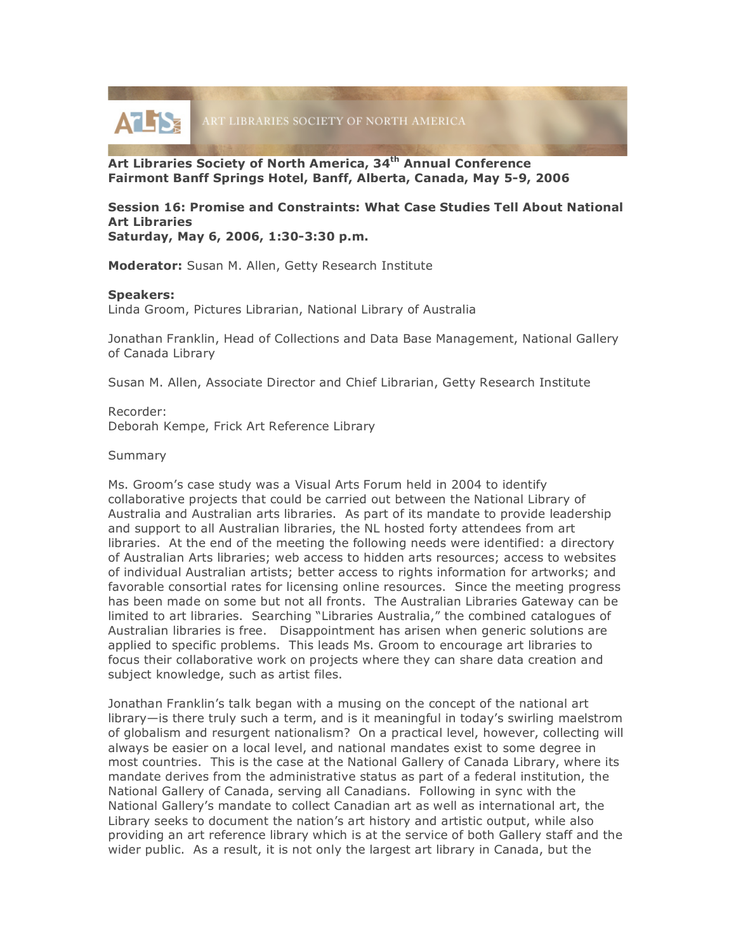

**Art Libraries Society of North America, 34th Annual Conference Fairmont Banff Springs Hotel, Banff, Alberta, Canada, May 5-9, 2006**

## **Session 16: Promise and Constraints: What Case Studies Tell About National Art Libraries Saturday, May 6, 2006, 1:30-3:30 p.m.**

**Moderator:** Susan M. Allen, Getty Research Institute

## **Speakers:**

Linda Groom, Pictures Librarian, National Library of Australia

Jonathan Franklin, Head of Collections and Data Base Management, National Gallery of Canada Library

Susan M. Allen, Associate Director and Chief Librarian, Getty Research Institute

Recorder: Deborah Kempe, Frick Art Reference Library

## Summary

Ms. Groom's case study was a Visual Arts Forum held in 2004 to identify collaborative projects that could be carried out between the National Library of Australia and Australian arts libraries. As part of its mandate to provide leadership and support to all Australian libraries, the NL hosted forty attendees from art libraries. At the end of the meeting the following needs were identified: a directory of Australian Arts libraries; web access to hidden arts resources; access to websites of individual Australian artists; better access to rights information for artworks; and favorable consortial rates for licensing online resources. Since the meeting progress has been made on some but not all fronts. The Australian Libraries Gateway can be limited to art libraries. Searching "Libraries Australia," the combined catalogues of Australian libraries is free. Disappointment has arisen when generic solutions are applied to specific problems. This leads Ms. Groom to encourage art libraries to focus their collaborative work on projects where they can share data creation and subject knowledge, such as artist files.

Jonathan Franklin's talk began with a musing on the concept of the national art library—is there truly such a term, and is it meaningful in today's swirling maelstrom of globalism and resurgent nationalism? On a practical level, however, collecting will always be easier on a local level, and national mandates exist to some degree in most countries. This is the case at the National Gallery of Canada Library, where its mandate derives from the administrative status as part of a federal institution, the National Gallery of Canada, serving all Canadians. Following in sync with the National Gallery's mandate to collect Canadian art as well as international art, the Library seeks to document the nation's art history and artistic output, while also providing an art reference library which is at the service of both Gallery staff and the wider public. As a result, it is not only the largest art library in Canada, but the